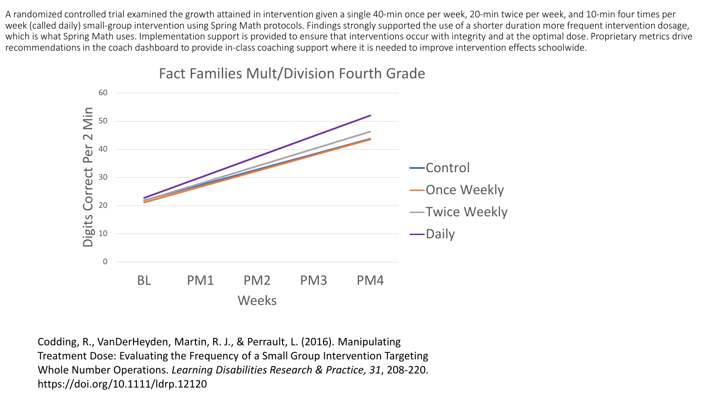A randomized controlled trial examined the growth attained in intervention given a single 40-min once per week, 20-min twice per week, and 10-min four times per week (called daily) small-group intervention using Spring Math protocols. Findings strongly supported the use of a shorter duration more frequent intervention dosage, which is what Spring Math uses. Implementation support is provided to ensure that interventions occur with integrity and at the optimal dose. Proprietary metrics drive recommendations in the coach dashboard to provide in-class coaching support where it is needed to improve intervention effects schoolwide.



## Fact Families Mult/Division Fourth Grade

Codding, R., VanDerHeyden, Martin, R. J., & Perrault, L. (2016). Manipulating Treatment Dose: Evaluating the Frequency of a Small Group Intervention Targeting Whole Number Operations. *Learning Disabilities Research & Practice, 31*, 208-220. https://doi.org/10.1111/ldrp.12120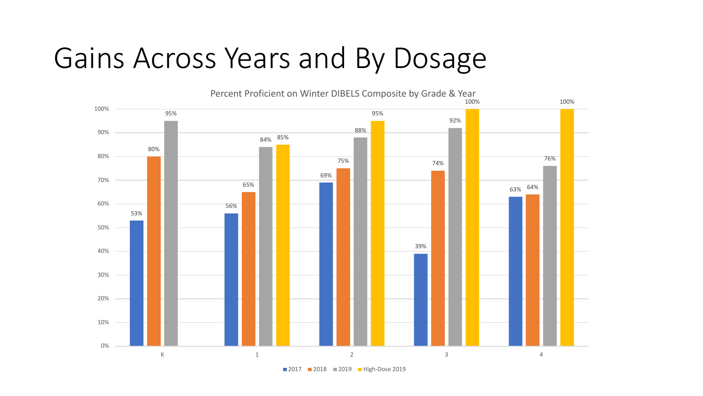## Gains Across Years and By Dosage



2017 2018 2019 High-Dose 2019